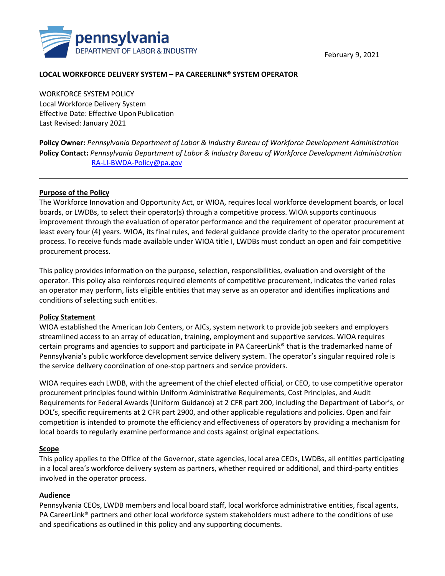February 9, 2021



## **LOCAL WORKFORCE DELIVERY SYSTEM – PA CAREERLINK® SYSTEM OPERATOR**

WORKFORCE SYSTEM POLICY Local Workforce Delivery System Effective Date: Effective Upon Publication Last Revised: January 2021

**Policy Owner:** *Pennsylvania Department of Labor & Industry Bureau of Workforce Development Administration* **Policy Contact:** *Pennsylvania Department of Labor & Industry Bureau of Workforce Development Administration* [RA-LI-BWDA-Policy@pa.gov](mailto:RA-LI-BWDA-Policy@pa.gov)

### **Purpose of the Policy**

The Workforce Innovation and Opportunity Act, or WIOA, requires local workforce development boards, or local boards, or LWDBs, to select their operator(s) through a competitive process. WIOA supports continuous improvement through the evaluation of operator performance and the requirement of operator procurement at least every four (4) years. WIOA, its final rules, and federal guidance provide clarity to the operator procurement process. To receive funds made available under WIOA title I, LWDBs must conduct an open and fair competitive procurement process.

This policy provides information on the purpose, selection, responsibilities, evaluation and oversight of the operator. This policy also reinforces required elements of competitive procurement, indicates the varied roles an operator may perform, lists eligible entities that may serve as an operator and identifies implications and conditions of selecting such entities.

#### **Policy Statement**

WIOA established the American Job Centers, or AJCs, system network to provide job seekers and employers streamlined access to an array of education, training, employment and supportive services. WIOA requires certain programs and agencies to support and participate in PA CareerLink® that is the trademarked name of Pennsylvania's public workforce development service delivery system. The operator's singular required role is the service delivery coordination of one-stop partners and service providers.

WIOA requires each LWDB, with the agreement of the chief elected official, or CEO, to use competitive operator procurement principles found within Uniform Administrative Requirements, Cost Principles, and Audit Requirements for Federal Awards (Uniform Guidance) at 2 CFR part 200, including the Department of Labor's, or DOL's, specific requirements at 2 CFR part 2900, and other applicable regulations and policies. Open and fair competition is intended to promote the efficiency and effectiveness of operators by providing a mechanism for local boards to regularly examine performance and costs against original expectations.

### **Scope**

This policy applies to the Office of the Governor, state agencies, local area CEOs, LWDBs, all entities participating in a local area's workforce delivery system as partners, whether required or additional, and third-party entities involved in the operator process.

### **Audience**

Pennsylvania CEOs, LWDB members and local board staff, local workforce administrative entities, fiscal agents, PA CareerLink® partners and other local workforce system stakeholders must adhere to the conditions of use and specifications as outlined in this policy and any supporting documents.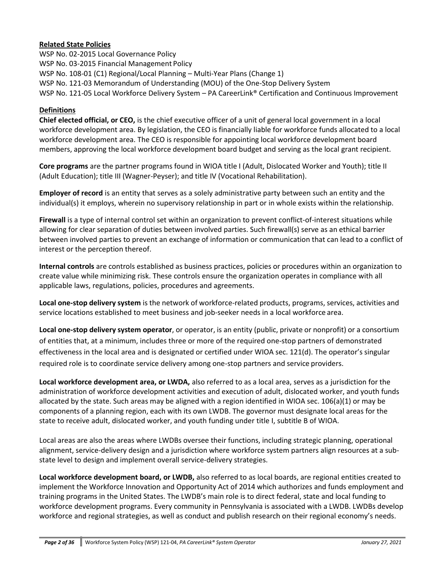## **Related State Policies**

WSP No. 02-2015 Local Governance Policy WSP No. 03-2015 Financial Management Policy WSP No. 108-01 (C1) Regional/Local Planning – Multi-Year Plans (Change 1) WSP No. 121-03 Memorandum of Understanding (MOU) of the One-Stop Delivery System WSP No. 121-05 Local Workforce Delivery System – PA CareerLink® Certification and Continuous Improvement

### **Definitions**

**Chief elected official, or CEO,** is the chief executive officer of a unit of general local government in a local workforce development area. By legislation, the CEO is financially liable for workforce funds allocated to a local workforce development area. The CEO is responsible for appointing local workforce development board members, approving the local workforce development board budget and serving as the local grant recipient.

**Core programs** are the partner programs found in WIOA title I (Adult, Dislocated Worker and Youth); title II (Adult Education); title III (Wagner-Peyser); and title IV (Vocational Rehabilitation).

**Employer of record** is an entity that serves as a solely administrative party between such an entity and the individual(s) it employs, wherein no supervisory relationship in part or in whole exists within the relationship.

**Firewall** is a type of internal control set within an organization to prevent conflict-of-interest situations while allowing for clear separation of duties between involved parties. Such firewall(s) serve as an ethical barrier between involved parties to prevent an exchange of information or communication that can lead to a conflict of interest or the perception thereof.

**Internal controls** are controls established as business practices, policies or procedures within an organization to create value while minimizing risk. These controls ensure the organization operates in compliance with all applicable laws, regulations, policies, procedures and agreements.

**Local one-stop delivery system** is the network of workforce-related products, programs, services, activities and service locations established to meet business and job-seeker needs in a local workforce area.

**Local one-stop delivery system operator**, or operator, is an entity (public, private or nonprofit) or a consortium of entities that, at a minimum, includes three or more of the required one-stop partners of demonstrated effectiveness in the local area and is designated or certified under WIOA sec. 121(d). The operator's singular required role is to coordinate service delivery among one-stop partners and service providers.

**Local workforce development area, or LWDA,** also referred to as a local area, serves as a jurisdiction for the administration of workforce development activities and execution of adult, dislocated worker, and youth funds allocated by the state. Such areas may be aligned with a region identified in WIOA sec. 106(a)(1) or may be components of a planning region, each with its own LWDB. The governor must designate local areas for the state to receive adult, dislocated worker, and youth funding under title I, subtitle B of WIOA.

Local areas are also the areas where LWDBs oversee their functions, including strategic planning, operational alignment, service-delivery design and a jurisdiction where workforce system partners align resources at a substate level to design and implement overall service-delivery strategies.

**Local workforce development board, or LWDB,** also referred to as local boards, are regional entities created to implement the Workforce Innovation and Opportunity Act of 2014 which authorizes and funds employment and training programs in the United States. The LWDB's main role is to direct federal, state and local funding to workforce development programs. Every community in Pennsylvania is associated with a LWDB. LWDBs develop workforce and regional strategies, as well as conduct and publish research on their regional economy's needs.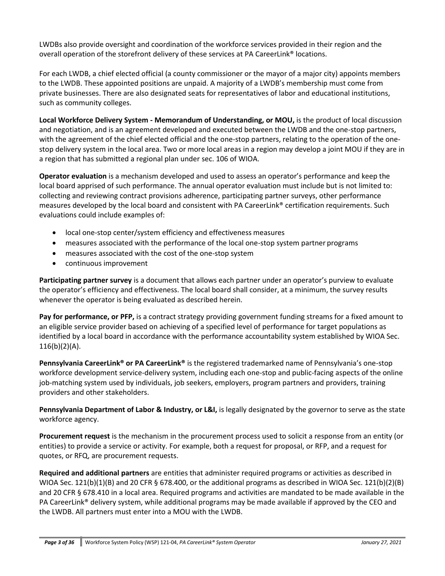LWDBs also provide oversight and coordination of the workforce services provided in their region and the overall operation of the storefront delivery of these services at PA CareerLink® locations.

For each LWDB, a chief elected official (a county commissioner or the mayor of a major city) appoints members to the LWDB. These appointed positions are unpaid. A majority of a LWDB's membership must come from private businesses. There are also designated seats for representatives of labor and educational institutions, such as community colleges.

**Local Workforce Delivery System - Memorandum of Understanding, or MOU,** is the product of local discussion and negotiation, and is an agreement developed and executed between the LWDB and the one-stop partners, with the agreement of the chief elected official and the one-stop partners, relating to the operation of the onestop delivery system in the local area. Two or more local areas in a region may develop a joint MOU if they are in a region that has submitted a regional plan under sec. 106 of WIOA.

**Operator evaluation** is a mechanism developed and used to assess an operator's performance and keep the local board apprised of such performance. The annual operator evaluation must include but is not limited to: collecting and reviewing contract provisions adherence, participating partner surveys, other performance measures developed by the local board and consistent with PA CareerLink® certification requirements. Such evaluations could include examples of:

- local one-stop center/system efficiency and effectiveness measures
- measures associated with the performance of the local one-stop system partner programs
- measures associated with the cost of the one-stop system
- continuous improvement

**Participating partner survey** is a document that allows each partner under an operator's purview to evaluate the operator's efficiency and effectiveness. The local board shall consider, at a minimum, the survey results whenever the operator is being evaluated as described herein.

**Pay for performance, or PFP,** is a contract strategy providing government funding streams for a fixed amount to an eligible service provider based on achieving of a specified level of performance for target populations as identified by a local board in accordance with the performance accountability system established by WIOA Sec.  $116(b)(2)(A)$ .

**Pennsylvania CareerLink® or PA CareerLink®** is the registered trademarked name of Pennsylvania's one-stop workforce development service-delivery system, including each one-stop and public-facing aspects of the online job-matching system used by individuals, job seekers, employers, program partners and providers, training providers and other stakeholders.

**Pennsylvania Department of Labor & Industry, or L&I,** is legally designated by the governor to serve as the state workforce agency.

**Procurement request** is the mechanism in the procurement process used to solicit a response from an entity (or entities) to provide a service or activity. For example, both a request for proposal, or RFP, and a request for quotes, or RFQ, are procurement requests.

**Required and additional partners** are entities that administer required programs or activities as described in WIOA Sec. 121(b)(1)(B) and 20 CFR § 678.400, or the additional programs as described in WIOA Sec. 121(b)(2)(B) and 20 CFR § 678.410 in a local area. Required programs and activities are mandated to be made available in the PA CareerLink® delivery system, while additional programs may be made available if approved by the CEO and the LWDB. All partners must enter into a MOU with the LWDB.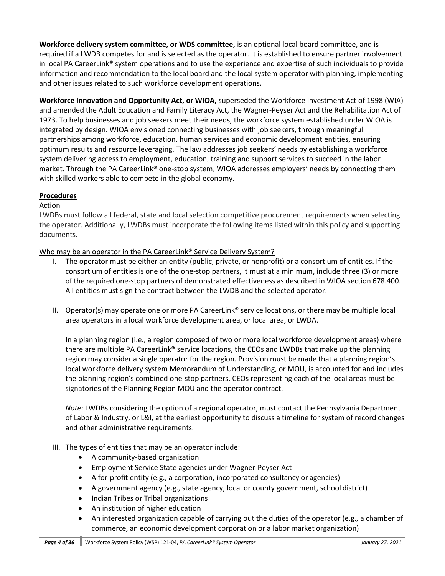**Workforce delivery system committee, or WDS committee,** is an optional local board committee, and is required if a LWDB competes for and is selected as the operator. It is established to ensure partner involvement in local PA CareerLink® system operations and to use the experience and expertise of such individuals to provide information and recommendation to the local board and the local system operator with planning, implementing and other issues related to such workforce development operations.

**Workforce Innovation and Opportunity Act, or WIOA,** superseded the Workforce Investment Act of 1998 (WIA) and amended the Adult Education and Family Literacy Act, the Wagner-Peyser Act and the Rehabilitation Act of 1973. To help businesses and job seekers meet their needs, the workforce system established under WIOA is integrated by design. WIOA envisioned connecting businesses with job seekers, through meaningful partnerships among workforce, education, human services and economic development entities, ensuring optimum results and resource leveraging. The law addresses job seekers' needs by establishing a workforce system delivering access to employment, education, training and support services to succeed in the labor market. Through the PA CareerLink® one-stop system, WIOA addresses employers' needs by connecting them with skilled workers able to compete in the global economy.

## **Procedures**

### Action

LWDBs must follow all federal, state and local selection competitive procurement requirements when selecting the operator. Additionally, LWDBs must incorporate the following items listed within this policy and supporting documents.

Who may be an operator in the PA CareerLink<sup>®</sup> Service Delivery System?

- I. The operator must be either an entity (public, private, or nonprofit) or a consortium of entities. If the consortium of entities is one of the one-stop partners, it must at a minimum, include three (3) or more of the required one‐stop partners of demonstrated effectiveness as described in WIOA section 678.400. All entities must sign the contract between the LWDB and the selected operator.
- II. Operator(s) may operate one or more PA CareerLink® service locations, or there may be multiple local area operators in a local workforce development area, or local area, or LWDA.

In a planning region (i.e., a region composed of two or more local workforce development areas) where there are multiple PA CareerLink® service locations, the CEOs and LWDBs that make up the planning region may consider a single operator for the region. Provision must be made that a planning region's local workforce delivery system Memorandum of Understanding, or MOU, is accounted for and includes the planning region's combined one-stop partners. CEOs representing each of the local areas must be signatories of the Planning Region MOU and the operator contract.

*Note*: LWDBs considering the option of a regional operator, must contact the Pennsylvania Department of Labor & Industry, or L&I, at the earliest opportunity to discuss a timeline for system of record changes and other administrative requirements.

- III. The types of entities that may be an operator include:
	- A community-based organization
	- Employment Service State agencies under Wagner-Peyser Act
	- A for-profit entity (e.g., a corporation, incorporated consultancy or agencies)
	- A government agency (e.g., state agency, local or county government, school district)
	- Indian Tribes or Tribal organizations
	- An institution of higher education
	- An interested organization capable of carrying out the duties of the operator (e.g., a chamber of commerce, an economic development corporation or a labor market organization)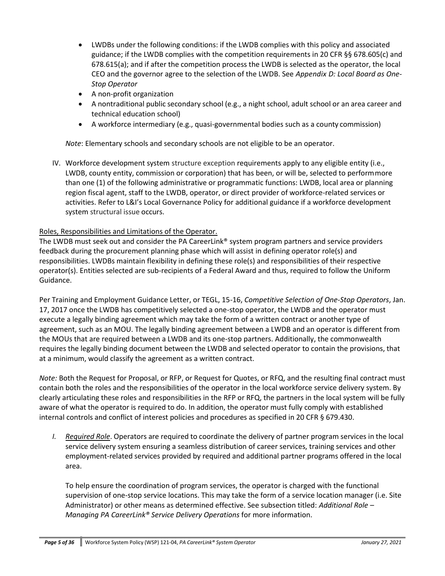- LWDBs under the following conditions: if the LWDB complies with this policy and associated guidance; if the LWDB complies with the competition requirements in 20 CFR §§ 678.605(c) and 678.615(a); and if after the competition process the LWDB is selected as the operator, the local CEO and the governor agree to the selection of the LWDB. See *Appendix D: Local Board as One-Stop Operator*
- A non-profit organization
- A nontraditional public secondary school (e.g., a night school, adult school or an area career and technical education school)
- A workforce intermediary (e.g., quasi-governmental bodies such as a county commission)

*Note*: Elementary schools and secondary schools are not eligible to be an operator.

IV. Workforce development system structure exception requirements apply to any eligible entity (i.e., LWDB, county entity, commission or corporation) that has been, or will be, selected to performmore than one (1) of the following administrative or programmatic functions: LWDB, local area or planning region fiscal agent, staff to the LWDB, operator, or direct provider of workforce-related services or activities. Refer to L&I's Local Governance Policy for additional guidance if a workforce development system structural issue occurs.

## Roles, Responsibilities and Limitations of the Operator.

The LWDB must seek out and consider the PA CareerLink<sup>®</sup> system program partners and service providers feedback during the procurement planning phase which will assist in defining operator role(s) and responsibilities. LWDBs maintain flexibility in defining these role(s) and responsibilities of their respective operator(s). Entities selected are sub-recipients of a Federal Award and thus, required to follow the Uniform Guidance.

Per Training and Employment Guidance Letter, or TEGL, 15-16, *Competitive Selection of One-Stop Operators*, Jan. 17, 2017 once the LWDB has competitively selected a one-stop operator, the LWDB and the operator must execute a legally binding agreement which may take the form of a written contract or another type of agreement, such as an MOU. The legally binding agreement between a LWDB and an operator is different from the MOUs that are required between a LWDB and its one-stop partners. Additionally, the commonwealth requires the legally binding document between the LWDB and selected operator to contain the provisions, that at a minimum, would classify the agreement as a written contract.

*Note:* Both the Request for Proposal, or RFP, or Request for Quotes, or RFQ, and the resulting final contract must contain both the roles and the responsibilities of the operator in the local workforce service delivery system. By clearly articulating these roles and responsibilities in the RFP or RFQ, the partners in the local system will be fully aware of what the operator is required to do. In addition, the operator must fully comply with established internal controls and conflict of interest policies and procedures as specified in 20 CFR § 679.430.

*I. Required Role*. Operators are required to coordinate the delivery of partner program services in the local service delivery system ensuring a seamless distribution of career services, training services and other employment-related services provided by required and additional partner programs offered in the local area.

To help ensure the coordination of program services, the operator is charged with the functional supervision of one-stop service locations. This may take the form of a service location manager (i.e. Site Administrator) or other means as determined effective. See subsection titled: *Additional Role – Managing PA CareerLink® Service Delivery Operations* for more information.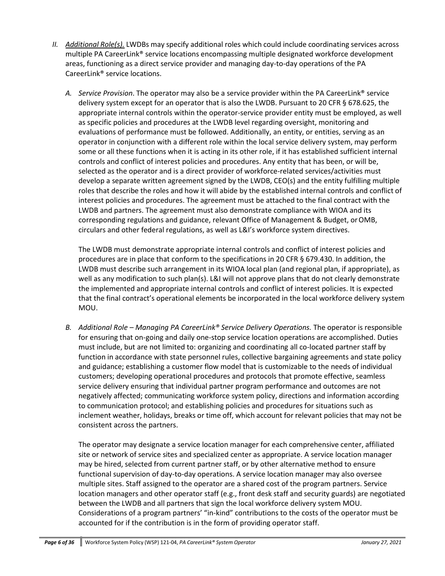- *II. Additional Role(s).* LWDBs may specify additional roles which could include coordinating services across multiple PA CareerLink® service locations encompassing multiple designated workforce development areas, functioning as a direct service provider and managing day-to-day operations of the PA CareerLink® service locations.
	- *A. Service Provision*. The operator may also be a service provider within the PA CareerLink® service delivery system except for an operator that is also the LWDB. Pursuant to 20 CFR § 678.625, the appropriate internal controls within the operator-service provider entity must be employed, as well as specific policies and procedures at the LWDB level regarding oversight, monitoring and evaluations of performance must be followed. Additionally, an entity, or entities, serving as an operator in conjunction with a different role within the local service delivery system, may perform some or all these functions when it is acting in its other role, if it has established sufficient internal controls and conflict of interest policies and procedures. Any entity that has been, or will be, selected as the operator and is a direct provider of workforce-related services/activities must develop a separate written agreement signed by the LWDB, CEO(s) and the entity fulfilling multiple roles that describe the roles and how it will abide by the established internal controls and conflict of interest policies and procedures. The agreement must be attached to the final contract with the LWDB and partners. The agreement must also demonstrate compliance with WIOA and its corresponding regulations and guidance, relevant Office of Management & Budget, orOMB, circulars and other federal regulations, as well as L&I's workforce system directives.

The LWDB must demonstrate appropriate internal controls and conflict of interest policies and procedures are in place that conform to the specifications in 20 CFR § 679.430. In addition, the LWDB must describe such arrangement in its WIOA local plan (and regional plan, if appropriate), as well as any modification to such plan(s). L&I will not approve plans that do not clearly demonstrate the implemented and appropriate internal controls and conflict of interest policies. It is expected that the final contract's operational elements be incorporated in the local workforce delivery system MOU.

*B. Additional Role – Managing PA CareerLink® Service Delivery Operations.* The operator is responsible for ensuring that on-going and daily one-stop service location operations are accomplished. Duties must include, but are not limited to: organizing and coordinating all co-located partner staff by function in accordance with state personnel rules, collective bargaining agreements and state policy and guidance; establishing a customer flow model that is customizable to the needs of individual customers; developing operational procedures and protocols that promote effective, seamless service delivery ensuring that individual partner program performance and outcomes are not negatively affected; communicating workforce system policy, directions and information according to communication protocol; and establishing policies and procedures for situations such as inclement weather, holidays, breaks or time off, which account for relevant policies that may not be consistent across the partners.

The operator may designate a service location manager for each comprehensive center, affiliated site or network of service sites and specialized center as appropriate. A service location manager may be hired, selected from current partner staff, or by other alternative method to ensure functional supervision of day-to-day operations. A service location manager may also oversee multiple sites. Staff assigned to the operator are a shared cost of the program partners. Service location managers and other operator staff (e.g., front desk staff and security guards) are negotiated between the LWDB and all partners that sign the local workforce delivery system MOU. Considerations of a program partners' "in-kind" contributions to the costs of the operator must be accounted for if the contribution is in the form of providing operator staff.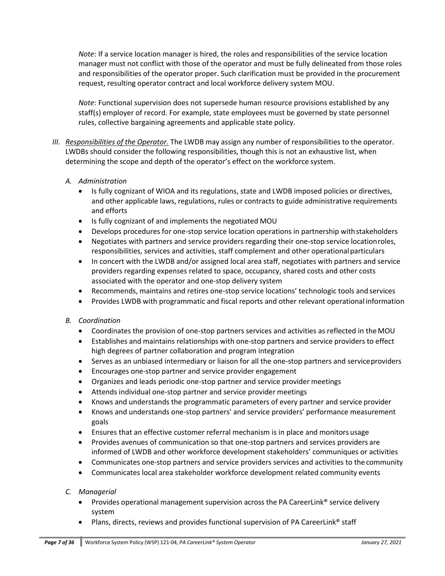*Note*: If a service location manager is hired, the roles and responsibilities of the service location manager must not conflict with those of the operator and must be fully delineated from those roles and responsibilities of the operator proper. Such clarification must be provided in the procurement request, resulting operator contract and local workforce delivery system MOU.

*Note*: Functional supervision does not supersede human resource provisions established by any staff(s) employer of record. For example, state employees must be governed by state personnel rules, collective bargaining agreements and applicable state policy.

*III. Responsibilities of the Operator.* The LWDB may assign any number of responsibilities to the operator. LWDBs should consider the following responsibilities, though this is not an exhaustive list, when determining the scope and depth of the operator's effect on the workforce system.

## *A. Administration*

- Is fully cognizant of WIOA and its regulations, state and LWDB imposed policies or directives, and other applicable laws, regulations, rules or contracts to guide administrative requirements and efforts
- Is fully cognizant of and implements the negotiated MOU
- Develops procedures for one-stop service location operations in partnership with stakeholders
- Negotiates with partners and service providers regarding their one-stop service locationroles, responsibilities, services and activities, staff complement and other operational particulars
- In concert with the LWDB and/or assigned local area staff, negotiates with partners and service providers regarding expenses related to space, occupancy, shared costs and other costs associated with the operator and one-stop delivery system
- Recommends, maintains and retires one-stop service locations' technologic tools and services
- Provides LWDB with programmatic and fiscal reports and other relevant operational information

# *B. Coordination*

- Coordinates the provision of one-stop partners services and activities as reflected in theMOU
- Establishes and maintains relationships with one-stop partners and service providers to effect high degrees of partner collaboration and program integration
- Serves as an unbiased intermediary or liaison for all the one-stop partners and serviceproviders
- Encourages one-stop partner and service provider engagement
- Organizes and leads periodic one-stop partner and service provider meetings
- Attends individual one-stop partner and service provider meetings
- Knows and understands the programmatic parameters of every partner and service provider
- Knows and understands one-stop partners' and service providers' performance measurement goals
- Ensures that an effective customer referral mechanism is in place and monitors usage
- Provides avenues of communication so that one-stop partners and services providers are informed of LWDB and other workforce development stakeholders' communiques or activities
- Communicates one-stop partners and service providers services and activities to the community
- Communicates local area stakeholder workforce development related community events

# *C. Managerial*

- Provides operational management supervision across the PA CareerLink<sup>®</sup> service delivery system
- Plans, directs, reviews and provides functional supervision of PA CareerLink<sup>®</sup> staff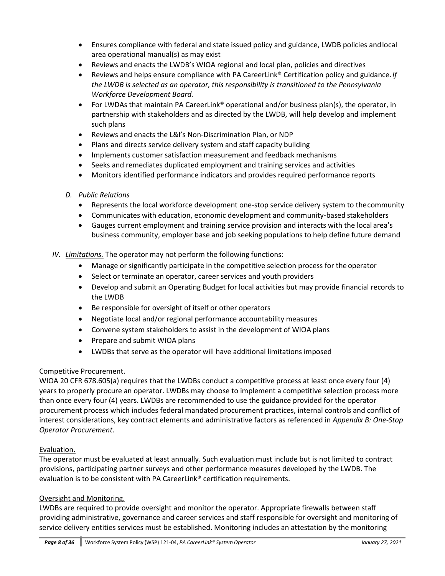- Ensures compliance with federal and state issued policy and guidance, LWDB policies andlocal area operational manual(s) as may exist
- Reviews and enacts the LWDB's WIOA regional and local plan, policies and directives
- Reviews and helps ensure compliance with PA CareerLink® Certification policy and guidance.*If the LWDB is selected as an operator, this responsibility is transitioned to the Pennsylvania Workforce Development Board.*
- For LWDAs that maintain PA CareerLink<sup>®</sup> operational and/or business plan(s), the operator, in partnership with stakeholders and as directed by the LWDB, will help develop and implement such plans
- Reviews and enacts the L&I's Non-Discrimination Plan, or NDP
- Plans and directs service delivery system and staff capacity building
- Implements customer satisfaction measurement and feedback mechanisms
- Seeks and remediates duplicated employment and training services and activities
- Monitors identified performance indicators and provides required performance reports

### *D. Public Relations*

- Represents the local workforce development one-stop service delivery system to thecommunity
- Communicates with education, economic development and community-based stakeholders
- Gauges current employment and training service provision and interacts with the local area's business community, employer base and job seeking populations to help define future demand
- *IV. Limitations.* The operator may not perform the following functions:
	- Manage or significantly participate in the competitive selection process for the operator
	- Select or terminate an operator, career services and youth providers
	- Develop and submit an Operating Budget for local activities but may provide financial records to the LWDB
	- Be responsible for oversight of itself or other operators
	- Negotiate local and/or regional performance accountability measures
	- Convene system stakeholders to assist in the development of WIOA plans
	- Prepare and submit WIOA plans
	- LWDBs that serve as the operator will have additional limitations imposed

### Competitive Procurement.

WIOA 20 CFR 678.605(a) requires that the LWDBs conduct a competitive process at least once every four (4) years to properly procure an operator. LWDBs may choose to implement a competitive selection process more than once every four (4) years. LWDBs are recommended to use the guidance provided for the operator procurement process which includes federal mandated procurement practices, internal controls and conflict of interest considerations, key contract elements and administrative factors as referenced in *Appendix B: One-Stop Operator Procurement*.

### Evaluation.

The operator must be evaluated at least annually. Such evaluation must include but is not limited to contract provisions, participating partner surveys and other performance measures developed by the LWDB. The evaluation is to be consistent with PA CareerLink® certification requirements.

### Oversight and Monitoring.

LWDBs are required to provide oversight and monitor the operator. Appropriate firewalls between staff providing administrative, governance and career services and staff responsible for oversight and monitoring of service delivery entities services must be established. Monitoring includes an attestation by the monitoring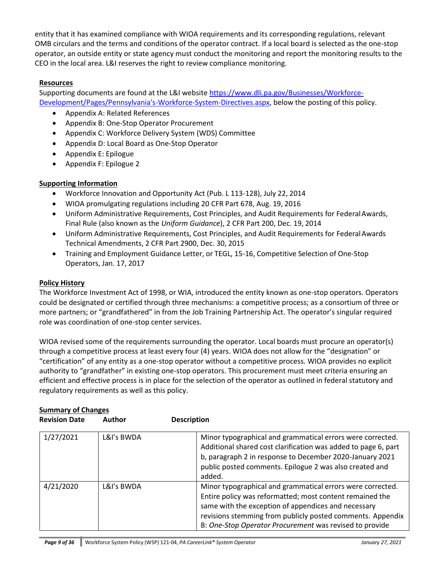entity that it has examined compliance with WIOA requirements and its corresponding regulations, relevant OMB circulars and the terms and conditions of the operator contract. If a local board is selected as the one-stop operator, an outside entity or state agency must conduct the monitoring and report the monitoring results to the CEO in the local area. L&I reserves the right to review compliance monitoring.

# **Resources**

Supporting documents are found at the L&I website [https://www.dli.pa.gov/Businesses/Workforce-](https://www.dli.pa.gov/Businesses/Workforce-Development/Pages/Pennsylvania%27s-Workforce-System-Directives.aspx)[Development/Pages/Pennsylvania's-Workforce-System-Directives.aspx, b](https://www.dli.pa.gov/Businesses/Workforce-Development/Pages/Pennsylvania%27s-Workforce-System-Directives.aspx)elow the posting of this policy.

- Appendix A: Related References
- Appendix B: One-Stop Operator Procurement
- Appendix C: Workforce Delivery System (WDS) Committee
- Appendix D: Local Board as One-Stop Operator
- Appendix E: Epilogue
- Appendix F: Epilogue 2

## **Supporting Information**

- Workforce Innovation and Opportunity Act (Pub. L 113-128), July 22, 2014
- WIOA promulgating regulations including 20 CFR Part 678, Aug. 19, 2016
- Uniform Administrative Requirements, Cost Principles, and Audit Requirements for FederalAwards, Final Rule (also known as the *Uniform Guidance*), 2 CFR Part 200, Dec. 19, 2014
- Uniform Administrative Requirements, Cost Principles, and Audit Requirements for FederalAwards Technical Amendments, 2 CFR Part 2900, Dec. 30, 2015
- Training and Employment Guidance Letter, or TEGL, 15-16, Competitive Selection of One-Stop Operators, Jan. 17, 2017

### **Policy History**

The Workforce Investment Act of 1998, or WIA, introduced the entity known as one-stop operators. Operators could be designated or certified through three mechanisms: a competitive process; as a consortium of three or more partners; or "grandfathered" in from the Job Training Partnership Act. The operator's singular required role was coordination of one-stop center services.

WIOA revised some of the requirements surrounding the operator. Local boards must procure an operator(s) through a competitive process at least every four (4) years. WIOA does not allow for the "designation" or "certification" of any entity as a one-stop operator without a competitive process. WIOA provides no explicit authority to "grandfather" in existing one-stop operators. This procurement must meet criteria ensuring an efficient and effective process is in place for the selection of the operator as outlined in federal statutory and regulatory requirements as well as this policy.

| <b>Revision Date</b> | <b>Author</b> | <b>Description</b>                                                                                                                                                                                                                                                                                     |  |
|----------------------|---------------|--------------------------------------------------------------------------------------------------------------------------------------------------------------------------------------------------------------------------------------------------------------------------------------------------------|--|
| 1/27/2021            | L&I's BWDA    | Minor typographical and grammatical errors were corrected.<br>Additional shared cost clarification was added to page 6, part<br>b, paragraph 2 in response to December 2020-January 2021<br>public posted comments. Epilogue 2 was also created and<br>added.                                          |  |
| 4/21/2020            | L&I's BWDA    | Minor typographical and grammatical errors were corrected.<br>Entire policy was reformatted; most content remained the<br>same with the exception of appendices and necessary<br>revisions stemming from publicly posted comments. Appendix<br>B: One-Stop Operator Procurement was revised to provide |  |

# **Summary of Changes**